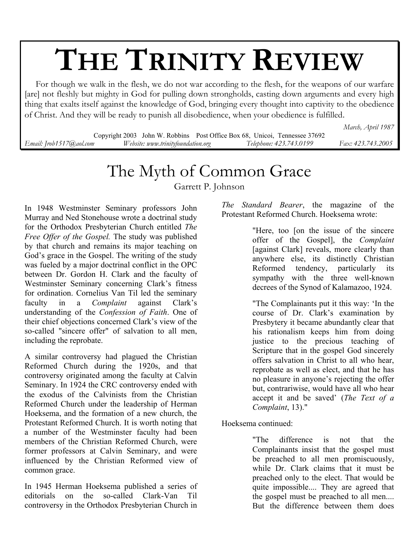# **THE TRINITY REVIEW**

 For though we walk in the flesh, we do not war according to the flesh, for the weapons of our warfare [are] not fleshly but mighty in God for pulling down strongholds, casting down arguments and every high thing that exalts itself against the knowledge of God, bringing every thought into captivity to the obedience of Christ. And they will be ready to punish all disobedience, when your obedience is fulfilled.

*March, April 1987* 

Copyright 2003 John W. Robbins Post Office Box 68, Unicoi, Tennessee 37692 *Email: Jrob1517@aol.com Website: www.trinityfoundation.org Telephone: 423.743.0199 Fax: 423.743.2005*

## The Myth of Common Grace

Garrett P. Johnson

In 1948 Westminster Seminary professors John Murray and Ned Stonehouse wrote a doctrinal study for the Orthodox Presbyterian Church entitled *The Free Offer of the Gospel.* The study was published by that church and remains its major teaching on God's grace in the Gospel. The writing of the study was fueled by a major doctrinal conflict in the OPC between Dr. Gordon H. Clark and the faculty of Westminster Seminary concerning Clark's fitness for ordination. Cornelius Van Til led the seminary faculty in a *Complaint* against Clark's understanding of the *Confession of Faith*. One of their chief objections concerned Clark's view of the so-called "sincere offer" of salvation to all men, including the reprobate.

A similar controversy had plagued the Christian Reformed Church during the 1920s, and that controversy originated among the faculty at Calvin Seminary. In 1924 the CRC controversy ended with the exodus of the Calvinists from the Christian Reformed Church under the leadership of Herman Hoeksema, and the formation of a new church, the Protestant Reformed Church. It is worth noting that a number of the Westminster faculty had been members of the Christian Reformed Church, were former professors at Calvin Seminary, and were influenced by the Christian Reformed view of common grace.

In 1945 Herman Hoeksema published a series of editorials on the so-called Clark-Van Til controversy in the Orthodox Presbyterian Church in *The Standard Bearer*, the magazine of the Protestant Reformed Church. Hoeksema wrote:

> "Here, too [on the issue of the sincere offer of the Gospel], the *Complaint* [against Clark] reveals, more clearly than anywhere else, its distinctly Christian Reformed tendency, particularly its sympathy with the three well-known decrees of the Synod of Kalamazoo, 1924.

> "The Complainants put it this way: 'In the course of Dr. Clark's examination by Presbytery it became abundantly clear that his rationalism keeps him from doing justice to the precious teaching of Scripture that in the gospel God sincerely offers salvation in Christ to all who hear, reprobate as well as elect, and that he has no pleasure in anyone's rejecting the offer but, contrariwise, would have all who hear accept it and be saved' (*The Text of a Complaint*, 13)."

Hoeksema continued:

"The difference is not that the Complainants insist that the gospel must be preached to all men promiscuously, while Dr. Clark claims that it must be preached only to the elect. That would be quite impossible.... They are agreed that the gospel must be preached to all men.... But the difference between them does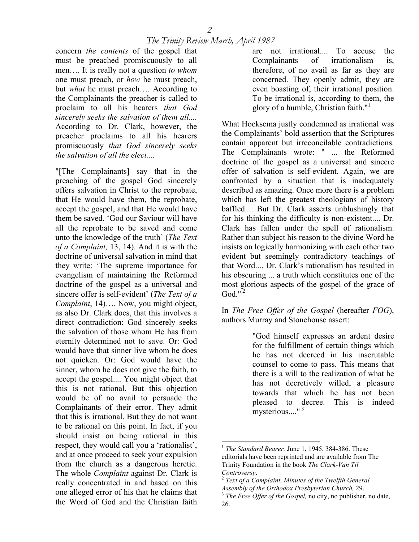concern *the contents* of the gospel that must be preached promiscuously to all men…. It is really not a question *to whom* one must preach, or *how* he must preach, but *what* he must preach…. According to the Complainants the preacher is called to proclaim to all his hearers *that God sincerely seeks the salvation of them all....*  According to Dr. Clark, however, the preacher proclaims to all his hearers promiscuously *that God sincerely seeks the salvation of all the elect....* 

"[The Complainants] say that in the preaching of the gospel God sincerely offers salvation in Christ to the reprobate, that He would have them, the reprobate, accept the gospel, and that He would have them be saved. 'God our Saviour will have all the reprobate to be saved and come unto the knowledge of the truth' (*The Text of a Complaint,* 13, 14). And it is with the doctrine of universal salvation in mind that they write: 'The supreme importance for evangelism of maintaining the Reformed doctrine of the gospel as a universal and sincere offer is self-evident' (*The Text of a Complaint*, 14)…. Now, you might object, as also Dr. Clark does, that this involves a direct contradiction: God sincerely seeks the salvation of those whom He has from eternity determined not to save. Or: God would have that sinner live whom he does not quicken. Or: God would have the sinner, whom he does not give the faith, to accept the gospel.... You might object that this is not rational. But this objection would be of no avail to persuade the Complainants of their error. They admit that this is irrational. But they do not want to be rational on this point. In fact, if you should insist on being rational in this respect, they would call you a 'rationalist', and at once proceed to seek your expulsion from the church as a dangerous heretic. The whole *Complaint* against Dr. Clark is really concentrated in and based on this one alleged error of his that he claims that the Word of God and the Christian faith

are not irrational.... To accuse the Complainants of irrationalism is, therefore, of no avail as far as they are concerned. They openly admit, they are even boasting of, their irrational position. To be irrational is, according to them, the glory of a humble, Christian faith." $\frac{1}{1}$ 

What Hoeksema justly condemned as irrational was the Complainants' bold assertion that the Scriptures contain apparent but irreconcilable contradictions. The Complainants wrote: " ... the Reformed doctrine of the gospel as a universal and sincere offer of salvation is self-evident. Again, we are confronted by a situation that is inadequately described as amazing. Once more there is a problem which has left the greatest theologians of history baffled.... But Dr. Clark asserts unblushingly that for his thinking the difficulty is non-existent.... Dr. Clark has fallen under the spell of rationalism. Rather than subject his reason to the divine Word he insists on logically harmonizing with each other two evident but seemingly contradictory teachings of that Word.... Dr. Clark's rationalism has resulted in his obscuring ... a truth which constitutes one of the most glorious aspects of the gospel of the grace of God." $^2$ 

In *The Free Offer of the Gospel* (hereafter *FOG*), authors Murray and Stonehouse assert:

> "God himself expresses an ardent desire for the fulfillment of certain things which he has not decreed in his inscrutable counsel to come to pass. This means that there is a will to the realization of what he has not decretively willed, a pleasure towards that which he has not been pleased to decree. This is indeed mysterious...."<sup>3</sup>

<span id="page-1-0"></span> <sup>1</sup> *The Standard Bearer,* June 1, 1945, 384-386. These editorials have been reprinted and are available from The Trinity Foundation in the book *The Clark-Van Til*

<span id="page-1-1"></span>*Controversy.*<br><sup>2</sup> *Text of a Complaint, Minutes of the Twelfth General*<br>*Assembly of the Orthodox Presbyterian Church, 29.* 

<span id="page-1-2"></span><sup>&</sup>lt;sup>3</sup> The Free Offer of the Gospel, no city, no publisher, no date, 26.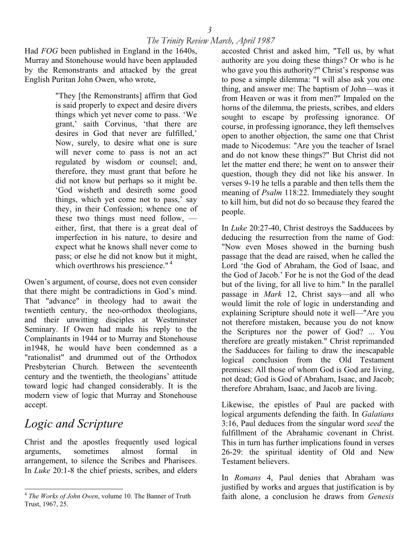Had *FOG* been published in England in the 1640s, Murray and Stonehouse would have been applauded by the Remonstrants and attacked by the great English Puritan John Owen, who wrote,

> "They [the Remonstrants] affirm that God is said properly to expect and desire divers things which yet never come to pass. 'We grant,' saith Corvinus, 'that there are desires in God that never are fulfilled,' Now, surely, to desire what one is sure will never come to pass is not an act regulated by wisdom or counsel; and, therefore, they must grant that before he did not know but perhaps so it might be. 'God wisheth and desireth some good things, which yet come not to pass,' say they, in their Confession; whence one of these two things must need follow, either, first, that there is a great deal of imperfection in his nature, to desire and expect what he knows shall never come to pass; or else he did not know but it might, which overthrows his prescience."<sup>4</sup>

Owen's argument, of course, does not even consider that there might be contradictions in God's mind. That "advance" in theology had to await the twentieth century, the neo-orthodox theologians, and their unwitting disciples at Westminster Seminary. If Owen had made his reply to the Complainants in 1944 or to Murray and Stonehouse in1948, he would have been condemned as a "rationalist" and drummed out of the Orthodox Presbyterian Church. Between the seventeenth century and the twentieth, the theologians' attitude toward logic had changed considerably. It is the modern view of logic that Murray and Stonehouse accept.

## *Logic and Scripture*

Christ and the apostles frequently used logical arguments, sometimes almost formal in arrangement, to silence the Scribes and Pharisees. In *Luke* 20:1-8 the chief priests, scribes, and elders

accosted Christ and asked him, "Tell us, by what authority are you doing these things? Or who is he who gave you this authority?" Christ's response was to pose a simple dilemma: "I will also ask you one thing, and answer me: The baptism of John—was it from Heaven or was it from men?" Impaled on the horns of the dilemma, the priests, scribes, and elders sought to escape by professing ignorance. Of course, in professing ignorance, they left themselves open to another objection, the same one that Christ made to Nicodemus: "Are you the teacher of Israel and do not know these things?" But Christ did not let the matter end there; he went on to answer their question, though they did not like his answer. In verses 9-19 he tells a parable and then tells them the meaning of *Psalm* 118:22. Immediately they sought to kill him, but did not do so because they feared the people.

In *Luke* 20:27-40, Christ destroys the Sadducees by deducing the resurrection from the name of God: "Now even Moses showed in the burning bush passage that the dead are raised, when he called the Lord 'the God of Abraham, the God of Isaac, and the God of Jacob.' For he is not the God of the dead but of the living, for all live to him." In the parallel passage in *Mark* 12, Christ says—and all who would limit the role of logic in understanding and explaining Scripture should note it well—"Are you not therefore mistaken, because you do not know the Scriptures nor the power of God? ... You therefore are greatly mistaken." Christ reprimanded the Sadducees for failing to draw the inescapable logical conclusion from the Old Testament premises: All those of whom God is God are living, not dead; God is God of Abraham, Isaac, and Jacob; therefore Abraham, Isaac, and Jacob are living.

Likewise, the epistles of Paul are packed with logical arguments defending the faith. In *Galatians*  3:16, Paul deduces from the singular word *seed* the fulfillment of the Abrahamic covenant in Christ. This in turn has further implications found in verses 26-29: the spiritual identity of Old and New Testament believers.

In *Romans* 4, Paul denies that Abraham was justified by works and argues that justification is by faith alone, a conclusion he draws from *Genesis*

<span id="page-2-0"></span> $\overline{a}$ <sup>4</sup> *The Works of John Owen*, volume 10. The Banner of Truth Trust, 1967, 25.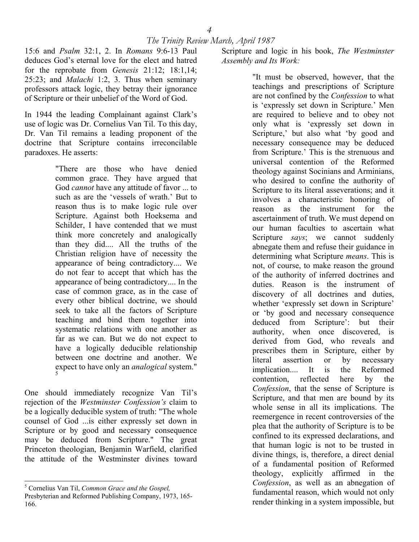15:6 and *Psalm* 32:1, 2. In *Romans* 9:6-13 Paul deduces God's eternal love for the elect and hatred for the reprobate from *Genesis* 21:12; 18:1,14; 25:23; and *Malachi* 1:2, 3. Thus when seminary professors attack logic, they betray their ignorance of Scripture or their unbelief of the Word of God.

In 1944 the leading Complainant against Clark's use of logic was Dr. Cornelius Van Til. To this day, Dr. Van Til remains a leading proponent of the doctrine that Scripture contains irreconcilable paradoxes. He asserts:

> "There are those who have denied common grace. They have argued that God *cannot* have any attitude of favor ... to such as are the 'vessels of wrath.' But to reason thus is to make logic rule over Scripture. Against both Hoeksema and Schilder, I have contended that we must think more concretely and analogically than they did.... All the truths of the Christian religion have of necessity the appearance of being contradictory.... We do not fear to accept that which has the appearance of being contradictory.... In the case of common grace, as in the case of every other biblical doctrine, we should seek to take all the factors of Scripture teaching and bind them together into systematic relations with one another as far as we can. But we do not expect to have a logically deducible relationship between one doctrine and another. We expect to have only an *analogical* system." [5](#page-3-0)

One should immediately recognize Van Til's rejection of the *Westminster Confession's* claim to be a logically deducible system of truth: "The whole counsel of God ...is either expressly set down in Scripture or by good and necessary consequence may be deduced from Scripture." The great Princeton theologian, Benjamin Warfield, clarified the attitude of the Westminster divines toward

Scripture and logic in his book, *The Westminster Assembly and Its Work:* 

> "It must be observed, however, that the teachings and prescriptions of Scripture are not confined by the *Confession* to what is 'expressly set down in Scripture.' Men are required to believe and to obey not only what is 'expressly set down in Scripture,' but also what 'by good and necessary consequence may be deduced from Scripture.' This is the strenuous and universal contention of the Reformed theology against Socinians and Arminians, who desired to confine the authority of Scripture to its literal asseverations; and it involves a characteristic honoring of reason as the instrument for the ascertainment of truth. We must depend on our human faculties to ascertain what Scripture *says*; we cannot suddenly abnegate them and refuse their guidance in determining what Scripture *means*. This is not, of course, to make reason the ground of the authority of inferred doctrines and duties. Reason is the instrument of discovery of all doctrines and duties, whether 'expressly set down in Scripture' or 'by good and necessary consequence deduced from Scripture': but their authority, when once discovered, is derived from God, who reveals and prescribes them in Scripture, either by literal assertion or by necessary implication.... It is the Reformed contention, reflected here by the *Confession*, that the sense of Scripture is Scripture, and that men are bound by its whole sense in all its implications. The reemergence in recent controversies of the plea that the authority of Scripture is to be confined to its expressed declarations, and that human logic is not to be trusted in divine things, is, therefore, a direct denial of a fundamental position of Reformed theology, explicitly affirmed in the *Confession*, as well as an abnegation of fundamental reason, which would not only render thinking in a system impossible, but

<span id="page-3-0"></span> <sup>5</sup> Cornelius Van Til, *Common Grace and the Gospel,*

Presbyterian and Reformed Publishing Company, 1973, 165- 166.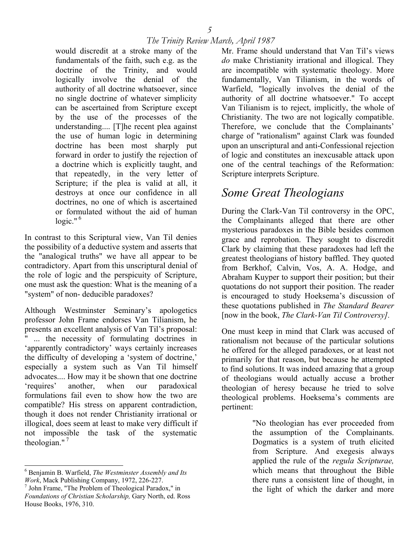would discredit at a stroke many of the fundamentals of the faith, such e.g. as the doctrine of the Trinity, and would logically involve the denial of the authority of all doctrine whatsoever, since no single doctrine of whatever simplicity can be ascertained from Scripture except by the use of the processes of the understanding.... [T]he recent plea against the use of human logic in determining doctrine has been most sharply put forward in order to justify the rejection of a doctrine which is explicitly taught, and that repeatedly, in the very letter of Scripture; if the plea is valid at all, it destroys at once our confidence in all doctrines, no one of which is ascertained or formulated without the aid of human  $\log$ ic." $\frac{6}{1}$ 

In contrast to this Scriptural view, Van Til denies the possibility of a deductive system and asserts that the "analogical truths" we have all appear to be contradictory. Apart from this unscriptural denial of the role of logic and the perspicuity of Scripture, one must ask the question: What is the meaning of a "system" of non- deducible paradoxes?

Although Westminster Seminary's apologetics professor John Frame endorses Van Tilianism, he presents an excellent analysis of Van Til's proposal: ... the necessity of formulating doctrines in 'apparently contradictory' ways certainly increases the difficulty of developing a 'system of doctrine,' especially a system such as Van Til himself advocates.... How may it be shown that one doctrine 'requires' another, when our paradoxical formulations fail even to show how the two are compatible? His stress on apparent contradiction, though it does not render Christianity irrational or illogical, does seem at least to make very difficult if not impossible the task of the systematic theologian."<sup>7</sup>

Mr. Frame should understand that Van Til's views *do* make Christianity irrational and illogical. They are incompatible with systematic theology. More fundamentally, Van Tilianism, in the words of Warfield, "logically involves the denial of the authority of all doctrine whatsoever." To accept Van Tilianism is to reject, implicitly, the whole of Christianity. The two are not logically compatible. Therefore, we conclude that the Complainants' charge of "rationalism" against Clark was founded upon an unscriptural and anti-Confessional rejection of logic and constitutes an inexcusable attack upon one of the central teachings of the Reformation: Scripture interprets Scripture.

## *Some Great Theologians*

During the Clark-Van Til controversy in the OPC, the Complainants alleged that there are other mysterious paradoxes in the Bible besides common grace and reprobation. They sought to discredit Clark by claiming that these paradoxes had left the greatest theologians of history baffled. They quoted from Berkhof, Calvin, Vos, A. A. Hodge, and Abraham Kuyper to support their position; but their quotations do not support their position. The reader is encouraged to study Hoeksema's discussion of these quotations published in *The Standard Bearer*  [now in the book, *The Clark-Van Til Controversy].*

One must keep in mind that Clark was accused of rationalism not because of the particular solutions he offered for the alleged paradoxes, or at least not primarily for that reason, but because he attempted to find solutions. It was indeed amazing that a group of theologians would actually accuse a brother theologian of heresy because he tried to solve theological problems. Hoeksema's comments are pertinent:

> "No theologian has ever proceeded from the assumption of the Complainants. Dogmatics is a system of truth elicited from Scripture. And exegesis always applied the rule of the *regula Scripturae,* which means that throughout the Bible there runs a consistent line of thought, in the light of which the darker and more

<span id="page-4-0"></span> <sup>6</sup> Benjamin B. Warfield, *The Westminster Assembly and Its Work*, Mack Publishing Company, 1972, 226-227.

<span id="page-4-1"></span> $\frac{1}{2}$  John Frame, "The Problem of Theological Paradox," in *Foundations of Christian Scholarship,* Gary North, ed. Ross House Books, 1976, 310.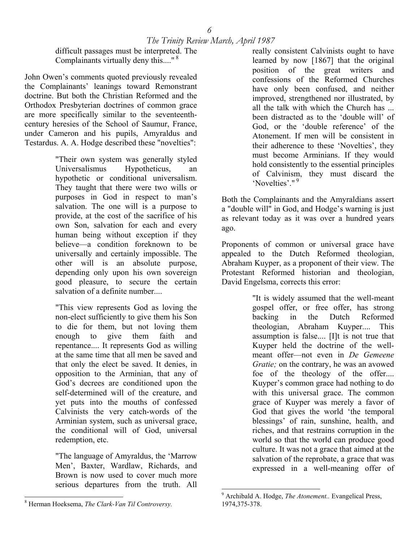difficult passages must be interpreted. The Complainants virtually deny this...."<sup>8</sup>

John Owen's comments quoted previously revealed the Complainants' leanings toward Remonstrant doctrine. But both the Christian Reformed and the Orthodox Presbyterian doctrines of common grace are more specifically similar to the seventeenthcentury heresies of the School of Saumur, France, under Cameron and his pupils, Amyraldus and Testardus. A. A. Hodge described these "novelties":

> "Their own system was generally styled Universalismus Hypotheticus, an hypothetic or conditional universalism. They taught that there were two wills or purposes in God in respect to man's salvation. The one will is a purpose to provide, at the cost of the sacrifice of his own Son, salvation for each and every human being without exception if they believe—a condition foreknown to be universally and certainly impossible. The other will is an absolute purpose, depending only upon his own sovereign good pleasure, to secure the certain salvation of a definite number....

> "This view represents God as loving the non-elect sufficiently to give them his Son to die for them, but not loving them enough to give them faith and repentance.... It represents God as willing at the same time that all men be saved and that only the elect be saved. It denies, in opposition to the Arminian, that any of God's decrees are conditioned upon the self-determined will of the creature, and yet puts into the mouths of confessed Calvinists the very catch-words of the Arminian system, such as universal grace, the conditional will of God, universal redemption, etc.

"The language of Amyraldus, the 'Marrow Men', Baxter, Wardlaw, Richards, and Brown is now used to cover much more serious departures from the truth. All

really consistent Calvinists ought to have learned by now [1867] that the original position of the great writers and confessions of the Reformed Churches have only been confused, and neither improved, strengthened nor illustrated, by all the talk with which the Church has ... been distracted as to the 'double will' of God, or the 'double reference' of the Atonement. If men will be consistent in their adherence to these 'Novelties', they must become Arminians. If they would hold consistently to the essential principles of Calvinism, they must discard the 'Novelties'." [9](#page-5-1) 

Both the Complainants and the Amyraldians assert a "double will" in God, and Hodge's warning is just as relevant today as it was over a hundred years ago.

Proponents of common or universal grace have appealed to the Dutch Reformed theologian, Abraham Kuyper, as a proponent of their view. The Protestant Reformed historian and theologian, David Engelsma, corrects this error:

> "It is widely assumed that the well-meant gospel offer, or free offer, has strong backing in the Dutch Reformed theologian, Abraham Kuyper.... This assumption is false.... [I]t is not true that Kuyper held the doctrine of the wellmeant offer—not even in *De Gemeene Gratie;* on the contrary, he was an avowed foe of the theology of the offer.... Kuyper's common grace had nothing to do with this universal grace. The common grace of Kuyper was merely a favor of God that gives the world 'the temporal blessings' of rain, sunshine, health, and riches, and that restrains corruption in the world so that the world can produce good culture. It was not a grace that aimed at the salvation of the reprobate, a grace that was expressed in a well-meaning offer of

<span id="page-5-1"></span> 9 Archibald A. Hodge, *The Atonement..* Evangelical Press, 1974,375-378.

<span id="page-5-0"></span> $\overline{\phantom{a}}$ 8 Herman Hoeksema, *The Clark-Van Til Controversy.*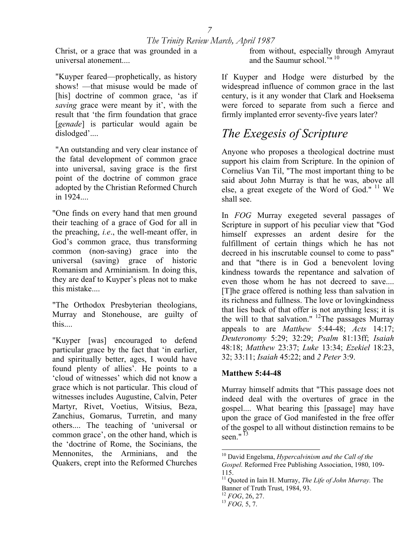Christ, or a grace that was grounded in a universal atonement....

"Kuyper feared—prophetically, as history shows! —that misuse would be made of [his] doctrine of common grace, 'as if *saving* grace were meant by it', with the result that 'the firm foundation that grace [*genade*] is particular would again be dislodged'....

"An outstanding and very clear instance of the fatal development of common grace into universal, saving grace is the first point of the doctrine of common grace adopted by the Christian Reformed Church in 1924

"One finds on every hand that men ground their teaching of a grace of God for all in the preaching, *i.e*., the well-meant offer, in God's common grace, thus transforming common (non-saving) grace into the universal (saving) grace of historic Romanism and Arminianism. In doing this, they are deaf to Kuyper's pleas not to make this mistake....

"The Orthodox Presbyterian theologians, Murray and Stonehouse, are guilty of this....

"Kuyper [was] encouraged to defend particular grace by the fact that 'in earlier, and spiritually better, ages, I would have found plenty of allies'. He points to a 'cloud of witnesses' which did not know a grace which is not particular. This cloud of witnesses includes Augustine, Calvin, Peter Martyr, Rivet, Voetius, Witsius, Beza, Zanchius, Gomarus, Turretin, and many others.... The teaching of 'universal or common grace', on the other hand, which is the 'doctrine of Rome, the Socinians, the Mennonites, the Arminians, and the Quakers, crept into the Reformed Churches

from without, especially through Amyraut and the Saumur school.'" [10](#page-6-0) 

If Kuyper and Hodge were disturbed by the widespread influence of common grace in the last century, is it any wonder that Clark and Hoeksema were forced to separate from such a fierce and firmly implanted error seventy-five years later?

## *The Exegesis of Scripture*

Anyone who proposes a theological doctrine must support his claim from Scripture. In the opinion of Cornelius Van Til, "The most important thing to be said about John Murray is that he was, above all else, a great exegete of the Word of God."  $11$  We shall see.

In *FOG* Murray exegeted several passages of Scripture in support of his peculiar view that "God himself expresses an ardent desire for the fulfillment of certain things which he has not decreed in his inscrutable counsel to come to pass" and that "there is in God a benevolent loving kindness towards the repentance and salvation of even those whom he has not decreed to save.... [T]he grace offered is nothing less than salvation in its richness and fullness. The love or lovingkindness that lies back of that offer is not anything less; it is the will to that salvation." <sup>12</sup>The passages Murray appeals to are *Matthew* 5:44-48; *Acts* 14:17; *Deuteronomy* 5:29; 32:29; *Psalm* 81:13ff; *Isaiah* 48:18; *Matthew* 23:37; *Luke* 13:34; *Ezekiel* 18:23, 32; 33:11; *Isaiah* 45:22; and *2 Peter* 3:9.

#### **Matthew 5:44-48**

Murray himself admits that "This passage does not indeed deal with the overtures of grace in the gospel.... What bearing this [passage] may have upon the grace of God manifested in the free offer of the gospel to all without distinction remains to be seen." $^{13}$ 

<span id="page-6-0"></span> <sup>10</sup> David Engelsma, *Hypercalvinism and the Call of the* 

*Gospel.* Reformed Free Publishing Association, 1980, 109- 115.

<span id="page-6-1"></span><sup>11</sup> Quoted in Iain H. Murray, *The Life of John Murray.* The Banner of Truth Trust, 1984, 93. 12 *FOG*, 26, 27. 13 *FOG,* 5, 7.

<span id="page-6-2"></span>

<span id="page-6-3"></span>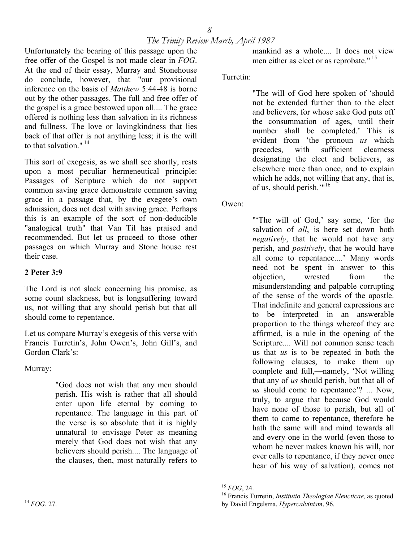Unfortunately the bearing of this passage upon the free offer of the Gospel is not made clear in *FOG*. At the end of their essay, Murray and Stonehouse do conclude, however, that "our provisional inference on the basis of *Matthew* 5:44-48 is borne out by the other passages. The full and free offer of the gospel is a grace bestowed upon all.... The grace offered is nothing less than salvation in its richness and fullness. The love or lovingkindness that lies back of that offer is not anything less; it is the will to that salvation  $" 14"$ 

This sort of exegesis, as we shall see shortly, rests upon a most peculiar hermeneutical principle: Passages of Scripture which do not support common saving grace demonstrate common saving grace in a passage that, by the exegete's own admission, does not deal with saving grace. Perhaps this is an example of the sort of non-deducible "analogical truth" that Van Til has praised and recommended. But let us proceed to those other passages on which Murray and Stone house rest their case.

#### **2 Peter 3:9**

The Lord is not slack concerning his promise, as some count slackness, but is longsuffering toward us, not willing that any should perish but that all should come to repentance.

Let us compare Murray's exegesis of this verse with Francis Turretin's, John Owen's, John Gill's, and Gordon Clark's:

Murray:

<span id="page-7-0"></span>"God does not wish that any men should perish. His wish is rather that all should enter upon life eternal by coming to repentance. The language in this part of the verse is so absolute that it is highly unnatural to envisage Peter as meaning merely that God does not wish that any believers should perish.... The language of the clauses, then, most naturally refers to

mankind as a whole.... It does not view men either as elect or as reprobate." <sup>15</sup>

#### Turretin:

"The will of God here spoken of 'should not be extended further than to the elect and believers, for whose sake God puts off the consummation of ages, until their number shall be completed.' This is evident from 'the pronoun *us* which precedes, with sufficient clearness designating the elect and believers, as elsewhere more than once, and to explain which he adds, not willing that any, that is, of us, should perish.'"[16](#page-7-2) 

Owen:

"'The will of God,' say some, 'for the salvation of *all*, is here set down both *negatively*, that he would not have any perish, and *positively*, that he would have all come to repentance....' Many words need not be spent in answer to this objection, wrested from the misunderstanding and palpable corrupting of the sense of the words of the apostle. That indefinite and general expressions are to be interpreted in an answerable proportion to the things whereof they are affirmed, is a rule in the opening of the Scripture.... Will not common sense teach us that *us* is to be repeated in both the following clauses, to make them up complete and full,—namely, 'Not willing that any of *us* should perish, but that all of *us* should come to repentance'? ... Now, truly, to argue that because God would have none of those to perish, but all of them to come to repentance, therefore he hath the same will and mind towards all and every one in the world (even those to whom he never makes known his will, nor ever calls to repentance, if they never once hear of his way of salvation), comes not

<span id="page-7-1"></span> $15 FOG. 24.$ 

<span id="page-7-2"></span><sup>&</sup>lt;sup>16</sup> Francis Turretin, *Institutio Theologiae Elencticae*, as quoted by David Engelsma, *Hypercalvinism*, 96.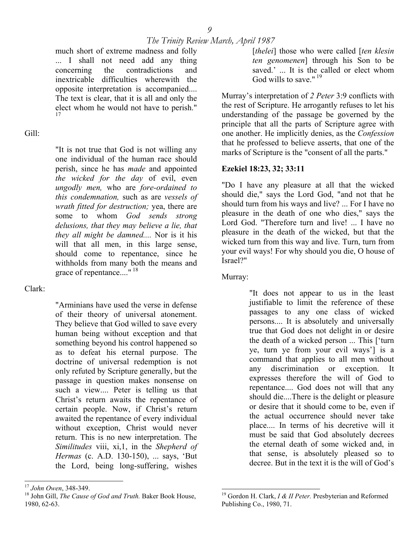much short of extreme madness and folly ... I shall not need add any thing concerning the contradictions and inextricable difficulties wherewith the opposite interpretation is accompanied.... The text is clear, that it is all and only the elect whom he would not have to perish." [17](#page-8-0) 

#### Gill:

"It is not true that God is not willing any one individual of the human race should perish, since he has *made* and appointed *the wicked for the day* of evil, even *ungodly men,* who are *fore-ordained to this condemnation,* such as are *vessels of wrath fitted for destruction;* yea, there are some to whom *God sends strong delusions, that they may believe a lie, that they all might be damned....* Nor is it his will that all men, in this large sense, should come to repentance, since he withholds from many both the means and grace of repentance...." [18](#page-8-1) 

#### Clark:

"Arminians have used the verse in defense of their theory of universal atonement. They believe that God willed to save every human being without exception and that something beyond his control happened so as to defeat his eternal purpose. The doctrine of universal redemption is not only refuted by Scripture generally, but the passage in question makes nonsense on such a view.... Peter is telling us that Christ's return awaits the repentance of certain people. Now, if Christ's return awaited the repentance of every individual without exception, Christ would never return. This is no new interpretation. The *Similitudes* viii, xi,1, in the *Shepherd of Hermas* (c. A.D. 130-150), ... says, 'But the Lord, being long-suffering, wishes

[*thelei*] those who were called [*ten klesin ten genomenen*] through his Son to be saved.' ... It is the called or elect whom God wills to save."<sup>19</sup>

Murray's interpretation of *2 Peter* 3:9 conflicts with the rest of Scripture. He arrogantly refuses to let his understanding of the passage be governed by the principle that all the parts of Scripture agree with one another. He implicitly denies, as the *Confession* that he professed to believe asserts, that one of the marks of Scripture is the "consent of all the parts."

#### **Ezekiel 18:23, 32; 33:11**

"Do I have any pleasure at all that the wicked should die," says the Lord God, "and not that he should turn from his ways and live? ... For I have no pleasure in the death of one who dies," says the Lord God. "Therefore turn and live! ... I have no pleasure in the death of the wicked, but that the wicked turn from this way and live. Turn, turn from your evil ways! For why should you die, O house of Israel?"

Murray:

"It does not appear to us in the least justifiable to limit the reference of these passages to any one class of wicked persons.... It is absolutely and universally true that God does not delight in or desire the death of a wicked person ... This ['turn ye, turn ye from your evil ways'] is a command that applies to all men without any discrimination or exception. It expresses therefore the will of God to repentance.... God does not will that any should die....There is the delight or pleasure or desire that it should come to be, even if the actual occurrence should never take place.... In terms of his decretive will it must be said that God absolutely decrees the eternal death of some wicked and, in that sense, is absolutely pleased so to decree. But in the text it is the will of God's

<span id="page-8-0"></span> $17$  John Owen, 348-349.

<span id="page-8-1"></span><sup>&</sup>lt;sup>18</sup> John Gill, *The Cause of God and Truth*. Baker Book House, 1980, 62-63.

<span id="page-8-2"></span><sup>19</sup> Gordon H. Clark, *I & II Peter.* Presbyterian and Reformed Publishing Co., 1980, 71.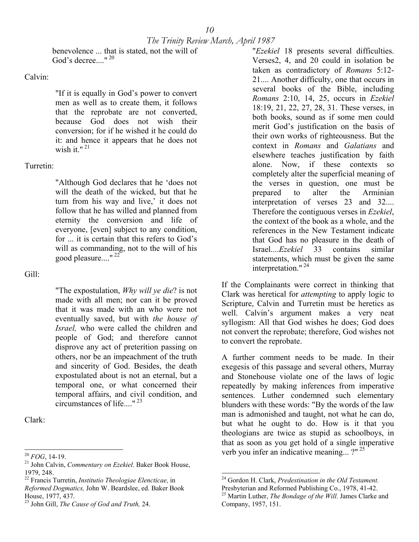benevolence ... that is stated, not the will of God's decree..."  $^{120}$ 

#### Calvin:

"If it is equally in God's power to convert men as well as to create them, it follows that the reprobate are not converted, because God does not wish their conversion; for if he wished it he could do it: and hence it appears that he does not wish it." $^{21}$ 

#### Turretin:

"Although God declares that he 'does not will the death of the wicked, but that he turn from his way and live,' it does not follow that he has willed and planned from eternity the conversion and life of everyone, [even] subject to any condition, for ... it is certain that this refers to God's will as commanding, not to the will of his good pleasure...." [22](#page-9-2) 

Gill:

"The expostulation, *Why will ye die*? is not made with all men; nor can it be proved that it was made with an who were not eventually saved, but with *the house of Israel,* who were called the children and people of God; and therefore cannot disprove any act of preterition passing on others, nor be an impeachment of the truth and sincerity of God. Besides, the death expostulated about is not an eternal, but a temporal one, or what concerned their temporal affairs, and civil condition, and circumstances of life...." [23](#page-9-3) 

Clark:

"*Ezekiel* 18 presents several difficulties. Verses2, 4, and 20 could in isolation be taken as contradictory of *Romans* 5:12- 21.... Another difficulty, one that occurs in several books of the Bible, including *Romans* 2:10, 14, 25, occurs in *Ezekiel* 18:19, 21, 22, 27, 28, 31. These verses, in both books, sound as if some men could merit God's justification on the basis of their own works of righteousness. But the context in *Romans* and *Galatians* and elsewhere teaches justification by faith alone. Now, if these contexts so completely alter the superficial meaning of the verses in question, one must be prepared to alter the Arminian interpretation of verses 23 and 32.... Therefore the contiguous verses in *Ezekiel*, the context of the book as a whole, and the references in the New Testament indicate that God has no pleasure in the death of Israel....*Ezekiel* 33 contains similar statements, which must be given the same interpretation." [24](#page-9-4) 

If the Complainants were correct in thinking that Clark was heretical for *attempting* to apply logic to Scripture, Calvin and Turretin must be heretics as well. Calvin's argument makes a very neat syllogism: All that God wishes he does; God does not convert the reprobate; therefore, God wishes not to convert the reprobate.

A further comment needs to be made. In their exegesis of this passage and several others, Murray and Stonehouse violate one of the laws of logic repeatedly by making inferences from imperative sentences. Luther condemned such elementary blunders with these words: "By the words of the law man is admonished and taught, not what he can do, but what he ought to do. How is it that you theologians are twice as stupid as schoolboys, in that as soon as you get hold of a single imperative verb you infer an indicative meaning...?"<sup>25</sup>

 $\overline{\phantom{a}}$ 

<span id="page-9-0"></span> $20$  FOG, 14-19.

<span id="page-9-1"></span><sup>&</sup>lt;sup>21</sup> John Calvin, *Commentary on Ezekiel*. Baker Book House, 1979, 248.

<span id="page-9-2"></span><sup>22</sup> Francis Turretin, *Institutio Theologiae Elencticae,* in *Reformed Dogmatics,* John W. Beardslee, ed. Baker Book House, 1977, 437.

<span id="page-9-3"></span><sup>23</sup> John Gill, *The Cause of God and Truth,* 24.

<span id="page-9-4"></span><sup>24</sup> Gordon H. Clark, *Predestination in the Old Testament.*

Presbyterian and Reformed Publishing Co., 1978, 41-42. 25 Martin Luther, *The Bondage of the Will.* James Clarke and

<span id="page-9-5"></span>Company, 1957, 151.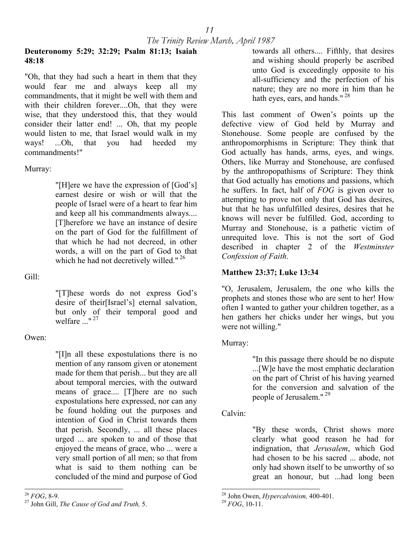#### **Deuteronomy 5:29; 32:29; Psalm 81:13; Isaiah 48:18**

"Oh, that they had such a heart in them that they would fear me and always keep all my commandments, that it might be well with them and with their children forever....Oh, that they were wise, that they understood this, that they would consider their latter end! ... Oh, that my people would listen to me, that Israel would walk in my ways! ...Oh, that you had heeded my commandments!"

#### Murray:

"[H]ere we have the expression of [God's] earnest desire or wish or will that the people of Israel were of a heart to fear him and keep all his commandments always.... [T]herefore we have an instance of desire on the part of God for the fulfillment of that which he had not decreed, in other words, a will on the part of God to that which he had not decretively willed."<sup>26</sup>

Gill:

"[T]hese words do not express God's desire of their[Israel's] eternal salvation, but only of their temporal good and welfare  $\frac{1}{27}$   $\frac{127}{27}$ 

#### Owen:

"[I]n all these expostulations there is no mention of any ransom given or atonement made for them that perish... but they are all about temporal mercies, with the outward means of grace.... [T]here are no such expostulations here expressed, nor can any be found holding out the purposes and intention of God in Christ towards them that perish. Secondly, ... all these places urged ... are spoken to and of those that enjoyed the means of grace, who ... were a very small portion of all men; so that from what is said to them nothing can be concluded of the mind and purpose of God

towards all others.... Fifthly, that desires and wishing should properly be ascribed unto God is exceedingly opposite to his all-sufficiency and the perfection of his nature; they are no more in him than he hath eyes, ears, and hands."<sup>28</sup>

This last comment of Owen's points up the defective view of God held by Murray and Stonehouse. Some people are confused by the anthropomorphisms in Scripture: They think that God actually has hands, arms, eyes, and wings. Others, like Murray and Stonehouse, are confused by the anthropopathisms of Scripture: They think that God actually has emotions and passions, which he suffers. In fact, half of *FOG* is given over to attempting to prove not only that God has desires, but that he has unfulfilled desires, desires that he knows will never be fulfilled. God, according to Murray and Stonehouse, is a pathetic victim of unrequited love. This is not the sort of God described in chapter 2 of the *Westminster Confession of Faith*.

#### **Matthew 23:37; Luke 13:34**

"O, Jerusalem, Jerusalem, the one who kills the prophets and stones those who are sent to her! How often I wanted to gather your children together, as a hen gathers her chicks under her wings, but you were not willing."

#### Murray:

"In this passage there should be no dispute ...[W]e have the most emphatic declaration on the part of Christ of his having yearned for the conversion and salvation of the people of Jerusalem."<sup>29</sup>

Calvin:

"By these words, Christ shows more clearly what good reason he had for indignation, that *Jerusalem*, which God had chosen to be his sacred ... abode, not only had shown itself to be unworthy of so great an honour, but ...had long been

<span id="page-10-0"></span> $^{26}$  FOG, 8-9.

<span id="page-10-1"></span><sup>&</sup>lt;sup>27</sup> John Gill, *The Cause of God and Truth*, 5. <sup>29</sup>  $FGG$ , 10-11.

<span id="page-10-2"></span><sup>&</sup>lt;sup>28</sup> John Owen, *Hypercalvinism*, 400-401.

<span id="page-10-3"></span>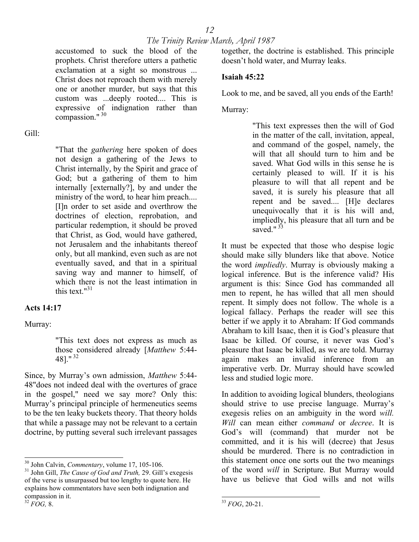accustomed to suck the blood of the prophets. Christ therefore utters a pathetic exclamation at a sight so monstrous ... Christ does not reproach them with merely one or another murder, but says that this custom was ...deeply rooted.... This is expressive of indignation rather than compassion." 30

Gill:

"That the *gathering* here spoken of does not design a gathering of the Jews to Christ internally, by the Spirit and grace of God; but a gathering of them to him internally [externally?], by and under the ministry of the word, to hear him preach.... [I]n order to set aside and overthrow the doctrines of election, reprobation, and particular redemption, it should be proved that Christ, as God, would have gathered, not Jerusalem and the inhabitants thereof only, but all mankind, even such as are not eventually saved, and that in a spiritual saving way and manner to himself, of which there is not the least intimation in this text. $1^{131}$  $1^{131}$  $1^{131}$ 

#### **Acts 14:17**

Murray:

"This text does not express as much as those considered already [*Matthew* 5:44- 48]." [32](#page-11-2) 

Since, by Murray's own admission, *Matthew* 5:44- 48"does not indeed deal with the overtures of grace in the gospel," need we say more? Only this: Murray's principal principle of hermeneutics seems to be the ten leaky buckets theory. That theory holds that while a passage may not be relevant to a certain doctrine, by putting several such irrelevant passages

together, the doctrine is established. This principle doesn't hold water, and Murray leaks.

#### **Isaiah 45:22**

Look to me, and be saved, all you ends of the Earth!

Murray:

"This text expresses then the will of God in the matter of the call, invitation, appeal, and command of the gospel, namely, the will that all should turn to him and be saved. What God wills in this sense he is certainly pleased to will. If it is his pleasure to will that all repent and be saved, it is surely his pleasure that all repent and be saved.... [H]e declares unequivocally that it is his will and, impliedly, his pleasure that all turn and be saved." $33$ 

It must be expected that those who despise logic should make silly blunders like that above. Notice the word *impliedly*. Murray is obviously making a logical inference. But is the inference valid? His argument is this: Since God has commanded all men to repent, he has willed that all men should repent. It simply does not follow. The whole is a logical fallacy. Perhaps the reader will see this better if we apply it to Abraham: If God commands Abraham to kill Isaac, then it is God's pleasure that Isaac be killed. Of course, it never was God's pleasure that Isaac be killed, as we are told. Murray again makes an invalid inference from an imperative verb. Dr. Murray should have scowled less and studied logic more.

In addition to avoiding logical blunders, theologians should strive to use precise language. Murray's exegesis relies on an ambiguity in the word *will. Will* can mean either *command* or *decree*. It is God's will (command) that murder not be committed, and it is his will (decree) that Jesus should be murdered. There is no contradiction in this statement once one sorts out the two meanings of the word *will* in Scripture. But Murray would have us believe that God wills and not wills

<span id="page-11-0"></span><sup>&</sup>lt;sup>30</sup> John Calvin, *Commentary*, volume 17, 105-106.

<span id="page-11-1"></span><sup>&</sup>lt;sup>31</sup> John Gill, *The Cause of God and Truth*, 29. Gill's exegesis of the verse is unsurpassed but too lengthy to quote here. He explains how commentators have seen both indignation and compassion in it. 32 *FOG,* 8.

<span id="page-11-2"></span>

<span id="page-11-3"></span> $\overline{\phantom{a}}$ <sup>33</sup> *FOG*, 20-21.